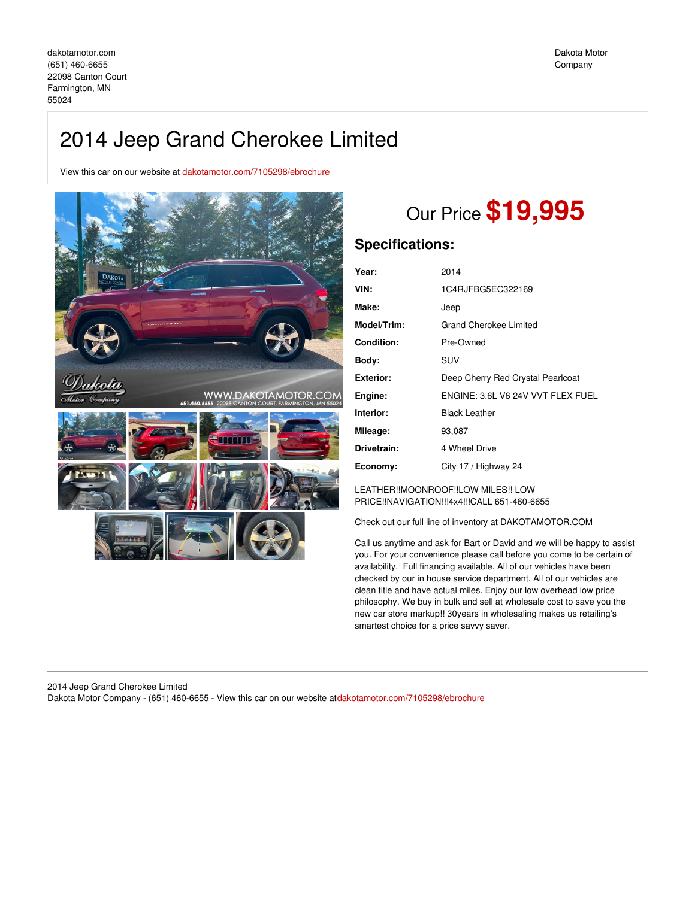## 2014 Jeep Grand Cherokee Limited

View this car on our website at [dakotamotor.com/7105298/ebrochure](https://dakotamotor.com/vehicle/7105298/2014-jeep-grand-cherokee-limited-farmington-mn-55024/7105298/ebrochure)



# Our Price **\$19,995**

### **Specifications:**

| Year:       | 2014                              |
|-------------|-----------------------------------|
| VIN:        | 1C4RJFBG5EC322169                 |
| Make:       | Jeep                              |
| Model/Trim: | <b>Grand Cherokee Limited</b>     |
| Condition:  | Pre-Owned                         |
| Body:       | SUV                               |
| Exterior:   | Deep Cherry Red Crystal Pearlcoat |
| Engine:     | ENGINE: 3.6L V6 24V VVT FLEX FUEL |
| Interior:   | <b>Black Leather</b>              |
| Mileage:    | 93,087                            |
| Drivetrain: | 4 Wheel Drive                     |
| Economy:    | City 17 / Highway 24              |

LEATHER!!MOONROOF!!LOW MILES!! LOW PRICE!!NAVIGATION!!!4x4!!!CALL 651-460-6655

Check out our full line of inventory at DAKOTAMOTOR.COM

Call us anytime and ask for Bart or David and we will be happy to assist you. For your convenience please call before you come to be certain of availability. Full financing available. All of our vehicles have been checked by our in house service department. All of our vehicles are clean title and have actual miles. Enjoy our low overhead low price philosophy. We buy in bulk and sell at wholesale cost to save you the new car store markup!! 30years in wholesaling makes us retailing's smartest choice for a price savvy saver.

#### 2014 Jeep Grand Cherokee Limited Dakota Motor Company - (651) 460-6655 - View this car on our website at[dakotamotor.com/7105298/ebrochure](https://dakotamotor.com/vehicle/7105298/2014-jeep-grand-cherokee-limited-farmington-mn-55024/7105298/ebrochure)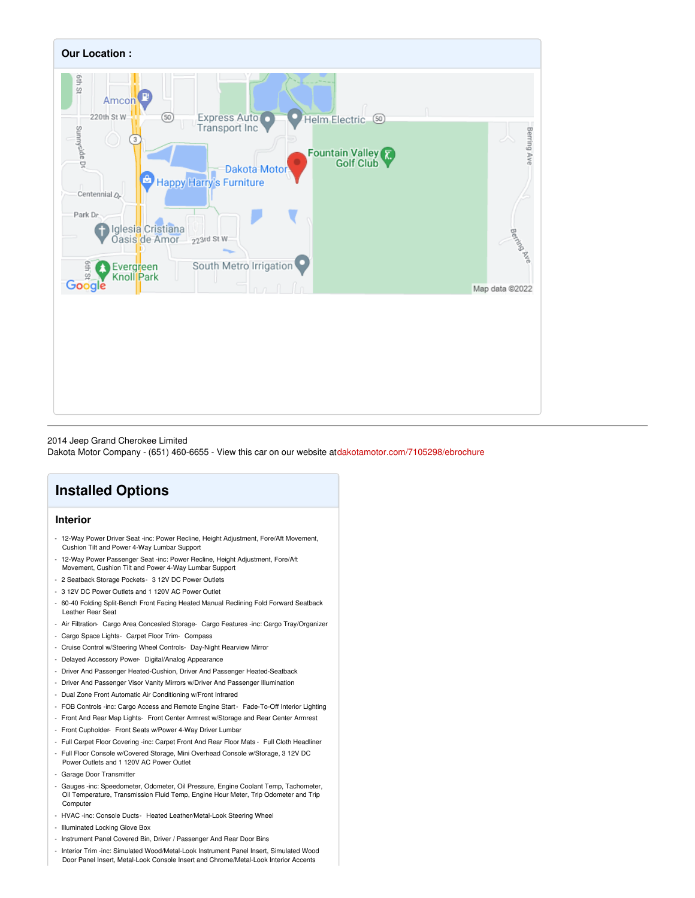

#### 2014 Jeep Grand Cherokee Limited

Dakota Motor Company - (651) 460-6655 - View this car on our website at[dakotamotor.com/7105298/ebrochure](https://dakotamotor.com/vehicle/7105298/2014-jeep-grand-cherokee-limited-farmington-mn-55024/7105298/ebrochure)

## **Installed Options**

#### **Interior**

- 12-Way Power Driver Seat -inc: Power Recline, Height Adjustment, Fore/Aft Movement, Cushion Tilt and Power 4-Way Lumbar Support
- 12-Way Power Passenger Seat -inc: Power Recline, Height Adjustment, Fore/Aft Movement, Cushion Tilt and Power 4-Way Lumbar Support
- 2 Seatback Storage Pockets- 3 12V DC Power Outlets
- 3 12V DC Power Outlets and 1 120V AC Power Outlet
- 60-40 Folding Split-Bench Front Facing Heated Manual Reclining Fold Forward Seatback Leather Rear Seat
- Air Filtration- Cargo Area Concealed Storage- Cargo Features -inc: Cargo Tray/Organizer
- Cargo Space Lights- Carpet Floor Trim- Compass
- Cruise Control w/Steering Wheel Controls- Day-Night Rearview Mirror
- Delayed Accessory Power- Digital/Analog Appearance
- Driver And Passenger Heated-Cushion, Driver And Passenger Heated-Seatback
- Driver And Passenger Visor Vanity Mirrors w/Driver And Passenger Illumination
- Dual Zone Front Automatic Air Conditioning w/Front Infrared
- FOB Controls -inc: Cargo Access and Remote Engine Start- Fade-To-Off Interior Lighting
- Front And Rear Map Lights- Front Center Armrest w/Storage and Rear Center Armrest
- Front Cupholder- Front Seats w/Power 4-Way Driver Lumbar
- Full Carpet Floor Covering -inc: Carpet Front And Rear Floor Mats Full Cloth Headliner
- Full Floor Console w/Covered Storage, Mini Overhead Console w/Storage, 3 12V DC Power Outlets and 1 120V AC Power Outlet
- Garage Door Transmitter
- Gauges -inc: Speedometer, Odometer, Oil Pressure, Engine Coolant Temp, Tachometer, Oil Temperature, Transmission Fluid Temp, Engine Hour Meter, Trip Odometer and Trip **Computer**
- HVAC -inc: Console Ducts- Heated Leather/Metal-Look Steering Wheel
- Illuminated Locking Glove Box
- Instrument Panel Covered Bin, Driver / Passenger And Rear Door Bins
- Interior Trim -inc: Simulated Wood/Metal-Look Instrument Panel Insert, Simulated Wood
- Door Panel Insert, Metal-Look Console Insert and Chrome/Metal-Look Interior Accents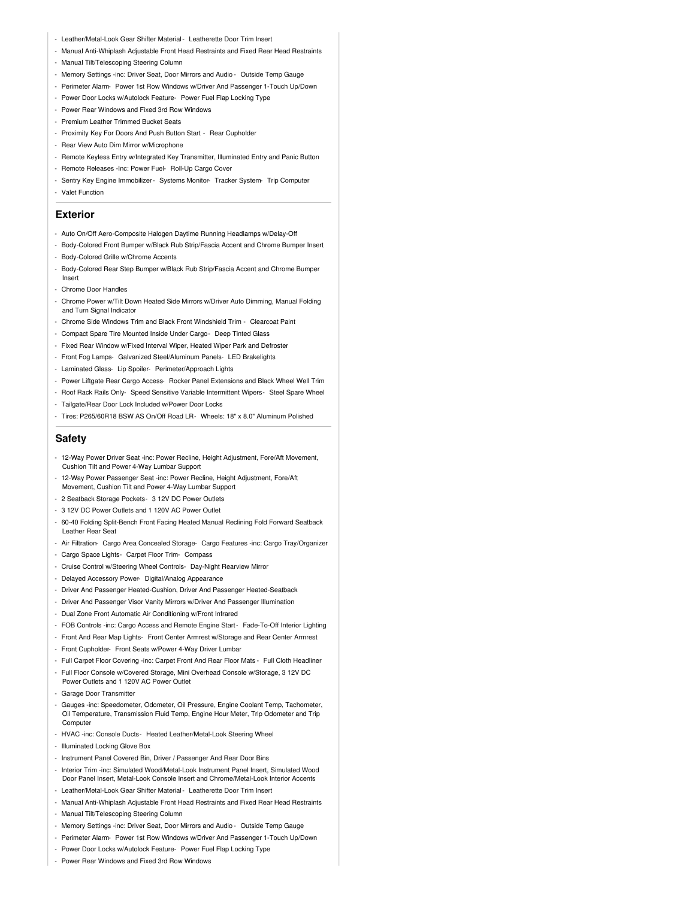- Leather/Metal-Look Gear Shifter Material- Leatherette Door Trim Insert
- Manual Anti-Whiplash Adjustable Front Head Restraints and Fixed Rear Head Restraints
- Manual Tilt/Telescoping Steering Column
- Memory Settings -inc: Driver Seat, Door Mirrors and Audio Outside Temp Gauge
- Perimeter Alarm- Power 1st Row Windows w/Driver And Passenger 1-Touch Up/Down
- Power Door Locks w/Autolock Feature- Power Fuel Flap Locking Type
- Power Rear Windows and Fixed 3rd Row Windows
- Premium Leather Trimmed Bucket Seats
- Proximity Key For Doors And Push Button Start Rear Cupholder
- Rear View Auto Dim Mirror w/Microphone
- Remote Keyless Entry w/Integrated Key Transmitter, Illuminated Entry and Panic Button
- Remote Releases -Inc: Power Fuel- Roll-Up Cargo Cover
- Sentry Key Engine Immobilizer Systems Monitor- Tracker System- Trip Computer
- Valet Function

#### **Exterior**

- Auto On/Off Aero-Composite Halogen Daytime Running Headlamps w/Delay-Off
- Body-Colored Front Bumper w/Black Rub Strip/Fascia Accent and Chrome Bumper Insert
- Body-Colored Grille w/Chrome Accents
- Body-Colored Rear Step Bumper w/Black Rub Strip/Fascia Accent and Chrome Bumper Insert
- Chrome Door Handles
- Chrome Power w/Tilt Down Heated Side Mirrors w/Driver Auto Dimming, Manual Folding and Turn Signal Indicator
- Chrome Side Windows Trim and Black Front Windshield Trim Clearcoat Paint
- Compact Spare Tire Mounted Inside Under Cargo- Deep Tinted Glass
- Fixed Rear Window w/Fixed Interval Wiper, Heated Wiper Park and Defroster
- Front Fog Lamps- Galvanized Steel/Aluminum Panels- LED Brakelights
- Laminated Glass- Lip Spoiler- Perimeter/Approach Lights
- Power Liftgate Rear Cargo Access- Rocker Panel Extensions and Black Wheel Well Trim
- Roof Rack Rails Only- Speed Sensitive Variable Intermittent Wipers- Steel Spare Wheel
- Tailgate/Rear Door Lock Included w/Power Door Locks
- Tires: P265/60R18 BSW AS On/Off Road LR- Wheels: 18" x 8.0" Aluminum Polished

#### **Safety**

- 12-Way Power Driver Seat -inc: Power Recline, Height Adjustment, Fore/Aft Movement, Cushion Tilt and Power 4-Way Lumbar Support
- 12-Way Power Passenger Seat -inc: Power Recline, Height Adjustment, Fore/Aft
- Movement, Cushion Tilt and Power 4-Way Lumbar Support
- 2 Seatback Storage Pockets- 3 12V DC Power Outlets
- 3 12V DC Power Outlets and 1 120V AC Power Outlet
- 60-40 Folding Split-Bench Front Facing Heated Manual Reclining Fold Forward Seatback Leather Rear Seat
- Air Filtration- Cargo Area Concealed Storage- Cargo Features -inc: Cargo Tray/Organizer
- Cargo Space Lights- Carpet Floor Trim- Compass
- Cruise Control w/Steering Wheel Controls- Day-Night Rearview Mirror
- Delayed Accessory Power- Digital/Analog Appearance
- Driver And Passenger Heated-Cushion, Driver And Passenger Heated-Seatback
- Driver And Passenger Visor Vanity Mirrors w/Driver And Passenger Illumination
- Dual Zone Front Automatic Air Conditioning w/Front Infrared
- FOB Controls -inc: Cargo Access and Remote Engine Start- Fade-To-Off Interior Lighting
- Front And Rear Map Lights- Front Center Armrest w/Storage and Rear Center Armrest
- Front Cupholder- Front Seats w/Power 4-Way Driver Lumbar
- Full Carpet Floor Covering -inc: Carpet Front And Rear Floor Mats Full Cloth Headliner
- Full Floor Console w/Covered Storage, Mini Overhead Console w/Storage, 3 12V DC Power Outlets and 1 120V AC Power Outlet
- Garage Door Transmitter
- Gauges -inc: Speedometer, Odometer, Oil Pressure, Engine Coolant Temp, Tachometer, Oil Temperature, Transmission Fluid Temp, Engine Hour Meter, Trip Odometer and Trip **Computer**
- HVAC -inc: Console Ducts- Heated Leather/Metal-Look Steering Wheel
- Illuminated Locking Glove Box
- Instrument Panel Covered Bin, Driver / Passenger And Rear Door Bins
- Interior Trim -inc: Simulated Wood/Metal-Look Instrument Panel Insert, Simulated Wood Door Panel Insert, Metal-Look Console Insert and Chrome/Metal-Look Interior Accents
- Leather/Metal-Look Gear Shifter Material- Leatherette Door Trim Insert
- Manual Anti-Whiplash Adjustable Front Head Restraints and Fixed Rear Head Restraints
- Manual Tilt/Telescoping Steering Column
- Memory Settings -inc: Driver Seat, Door Mirrors and Audio Outside Temp Gauge
- Perimeter Alarm- Power 1st Row Windows w/Driver And Passenger 1-Touch Up/Down
- Power Door Locks w/Autolock Feature- Power Fuel Flap Locking Type
- Power Rear Windows and Fixed 3rd Row Windows